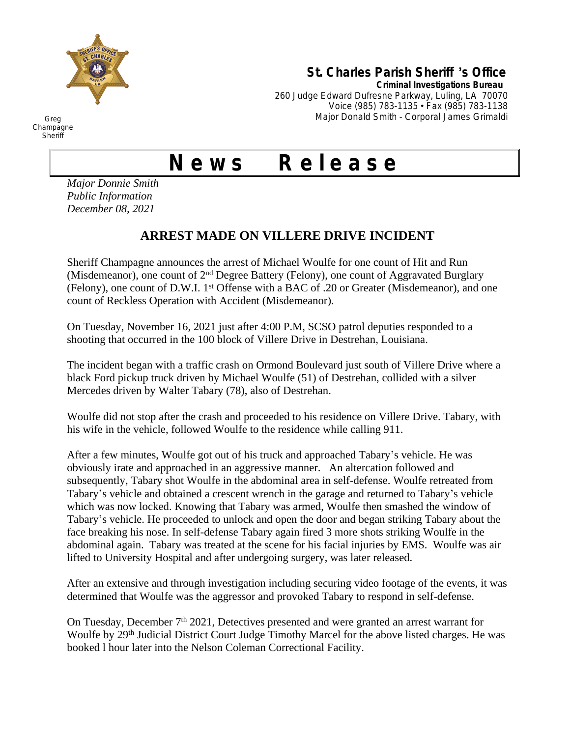

## **St. Charles Parish Sheriff** '**s Office**

**Criminal Investigations Bureau**

260 Judge Edward Dufresne Parkway, Luling, LA 70070 Voice (985) 783-1135 • Fax (985) 783-1138 Major Donald Smith - Corporal James Grimaldi

## **N e w s R e l e a s e**

*Major Donnie Smith Public Information December 08, 2021*

## **ARREST MADE ON VILLERE DRIVE INCIDENT**

Sheriff Champagne announces the arrest of Michael Woulfe for one count of Hit and Run (Misdemeanor), one count of 2nd Degree Battery (Felony), one count of Aggravated Burglary (Felony), one count of D.W.I. 1st Offense with a BAC of .20 or Greater (Misdemeanor), and one count of Reckless Operation with Accident (Misdemeanor).

On Tuesday, November 16, 2021 just after 4:00 P.M, SCSO patrol deputies responded to a shooting that occurred in the 100 block of Villere Drive in Destrehan, Louisiana.

The incident began with a traffic crash on Ormond Boulevard just south of Villere Drive where a black Ford pickup truck driven by Michael Woulfe (51) of Destrehan, collided with a silver Mercedes driven by Walter Tabary (78), also of Destrehan.

Woulfe did not stop after the crash and proceeded to his residence on Villere Drive. Tabary, with his wife in the vehicle, followed Woulfe to the residence while calling 911.

After a few minutes, Woulfe got out of his truck and approached Tabary's vehicle. He was obviously irate and approached in an aggressive manner. An altercation followed and subsequently, Tabary shot Woulfe in the abdominal area in self-defense. Woulfe retreated from Tabary's vehicle and obtained a crescent wrench in the garage and returned to Tabary's vehicle which was now locked. Knowing that Tabary was armed, Woulfe then smashed the window of Tabary's vehicle. He proceeded to unlock and open the door and began striking Tabary about the face breaking his nose. In self-defense Tabary again fired 3 more shots striking Woulfe in the abdominal again. Tabary was treated at the scene for his facial injuries by EMS. Woulfe was air lifted to University Hospital and after undergoing surgery, was later released.

After an extensive and through investigation including securing video footage of the events, it was determined that Woulfe was the aggressor and provoked Tabary to respond in self-defense.

On Tuesday, December 7th 2021, Detectives presented and were granted an arrest warrant for Woulfe by 29<sup>th</sup> Judicial District Court Judge Timothy Marcel for the above listed charges. He was booked l hour later into the Nelson Coleman Correctional Facility.